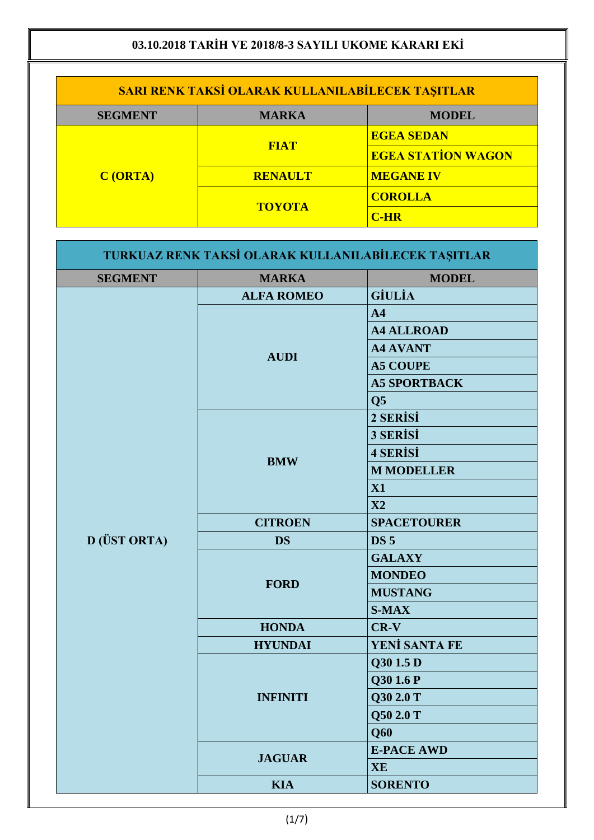| <b>SARI RENK TAKSİ OLARAK KULLANILABİLECEK TAŞITLAR</b> |                |                           |
|---------------------------------------------------------|----------------|---------------------------|
| <b>SEGMENT</b>                                          | <b>MARKA</b>   | <b>MODEL</b>              |
| C(ORTA)                                                 |                | <b>EGEA SEDAN</b>         |
|                                                         | <b>FIAT</b>    | <b>EGEA STATION WAGON</b> |
|                                                         | <b>RENAULT</b> | <b>MEGANE IV</b>          |
|                                                         | <b>TOYOTA</b>  | <b>COROLLA</b>            |
|                                                         |                | $C$ -HR                   |

| <b>SEGMENT</b> | <b>MARKA</b>                                  | <b>MODEL</b>         |
|----------------|-----------------------------------------------|----------------------|
|                | <b>ALFA ROMEO</b>                             | <b>GİULİA</b>        |
|                | <b>AUDI</b>                                   | A <sub>4</sub>       |
|                |                                               | <b>A4 ALLROAD</b>    |
|                |                                               | <b>A4 AVANT</b>      |
|                |                                               | <b>A5 COUPE</b>      |
|                |                                               | <b>A5 SPORTBACK</b>  |
|                |                                               | Q <sub>5</sub>       |
|                |                                               | 2 SERISI             |
|                |                                               | 3 SERİSİ             |
|                |                                               | <b>4 SERISI</b>      |
|                | <b>BMW</b>                                    | <b>M MODELLER</b>    |
|                |                                               | X1                   |
|                |                                               | $\mathbf{X}2$        |
|                | <b>CITROEN</b>                                | <b>SPACETOURER</b>   |
| D (ÜST ORTA)   | <b>DS</b>                                     | <b>DS 5</b>          |
|                |                                               | <b>GALAXY</b>        |
|                | <b>FORD</b><br><b>HONDA</b><br><b>HYUNDAI</b> | <b>MONDEO</b>        |
|                |                                               | <b>MUSTANG</b>       |
|                |                                               | <b>S-MAX</b>         |
|                |                                               | $CR-V$               |
|                |                                               | <b>YENİ SANTA FE</b> |
|                |                                               | Q30 1.5 D            |
|                |                                               | Q30 1.6 P            |
|                | <b>INFINITI</b>                               | Q30 2.0 T            |
|                |                                               | Q50 2.0 T            |
|                |                                               | Q60                  |
|                |                                               | <b>E-PACE AWD</b>    |
|                | <b>JAGUAR</b>                                 | <b>XE</b>            |
|                | <b>KIA</b>                                    | <b>SORENTO</b>       |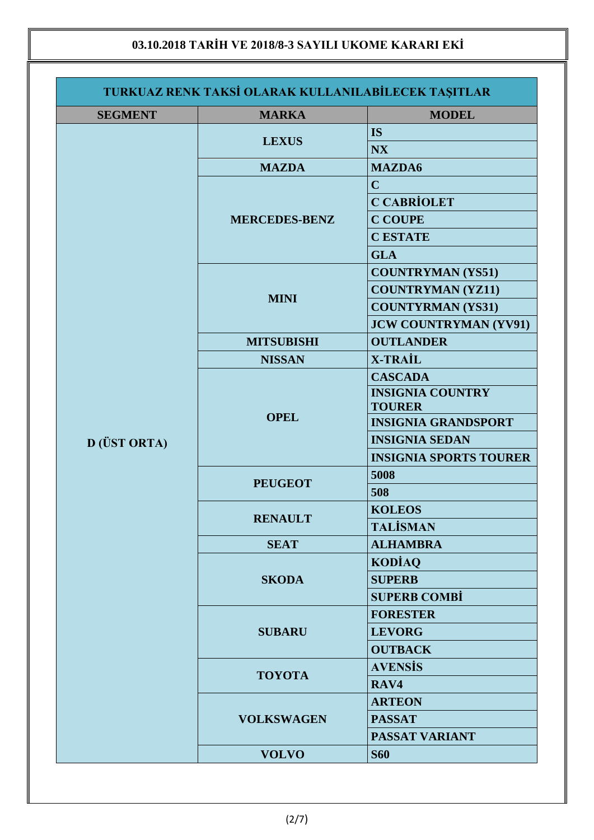| <b>SEGMENT</b> | <b>MARKA</b>                  | <b>MODEL</b>                  |
|----------------|-------------------------------|-------------------------------|
|                |                               | <b>IS</b>                     |
|                | <b>LEXUS</b>                  | <b>NX</b>                     |
|                | <b>MAZDA</b>                  | <b>MAZDA6</b>                 |
|                |                               | $\mathbf C$                   |
|                |                               | <b>C CABRİOLET</b>            |
|                | <b>MERCEDES-BENZ</b>          | <b>C COUPE</b>                |
|                |                               | <b>C ESTATE</b>               |
|                |                               | <b>GLA</b>                    |
|                |                               | <b>COUNTRYMAN (YS51)</b>      |
|                |                               | <b>COUNTRYMAN (YZ11)</b>      |
|                | <b>MINI</b>                   | <b>COUNTYRMAN (YS31)</b>      |
|                |                               | <b>JCW COUNTRYMAN (YV91)</b>  |
|                | <b>MITSUBISHI</b>             | <b>OUTLANDER</b>              |
|                | <b>NISSAN</b>                 | <b>X-TRAIL</b>                |
|                |                               | <b>CASCADA</b>                |
|                |                               | <b>INSIGNIA COUNTRY</b>       |
|                | <b>OPEL</b>                   | <b>TOURER</b>                 |
|                |                               | <b>INSIGNIA GRANDSPORT</b>    |
| D (ÜST ORTA)   |                               | <b>INSIGNIA SEDAN</b>         |
|                |                               | <b>INSIGNIA SPORTS TOURER</b> |
|                | <b>PEUGEOT</b>                | 5008                          |
|                |                               | 508                           |
|                | <b>RENAULT</b>                | <b>KOLEOS</b>                 |
|                |                               | <b>TALİSMAN</b>               |
|                | <b>SEAT</b>                   | <b>ALHAMBRA</b>               |
|                |                               | <b>KODIAQ</b>                 |
|                | <b>SKODA</b><br><b>SUBARU</b> | <b>SUPERB</b>                 |
|                |                               | <b>SUPERB COMBI</b>           |
|                |                               | <b>FORESTER</b>               |
|                |                               | <b>LEVORG</b>                 |
|                |                               | <b>OUTBACK</b>                |
|                | <b>TOYOTA</b>                 | <b>AVENSIS</b>                |
|                |                               | RAV4                          |
|                | <b>VOLKSWAGEN</b>             | <b>ARTEON</b>                 |
|                |                               | <b>PASSAT</b>                 |
|                |                               | <b>PASSAT VARIANT</b>         |
|                | <b>VOLVO</b>                  | <b>S60</b>                    |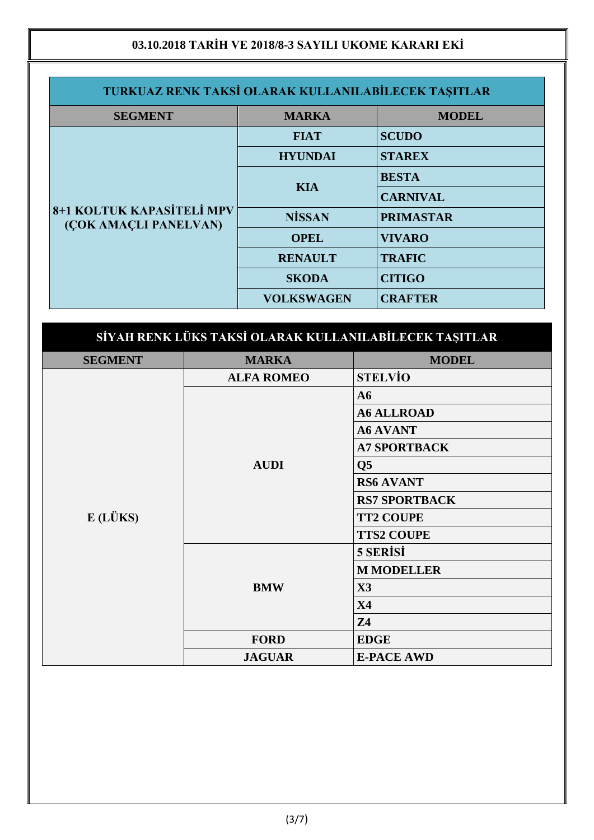| TURKUAZ RENK TAKSİ OLARAK KULLANILABİLECEK TAŞITLAR |                   |                  |
|-----------------------------------------------------|-------------------|------------------|
| <b>SEGMENT</b>                                      | <b>MARKA</b>      | <b>MODEL</b>     |
| 8+1 KOLTUK KAPASİTELİ MPV<br>(ÇOK AMAÇLI PANELVAN)  | <b>FIAT</b>       | <b>SCUDO</b>     |
|                                                     | <b>HYUNDAI</b>    | <b>STAREX</b>    |
|                                                     | <b>KIA</b>        | <b>BESTA</b>     |
|                                                     |                   | <b>CARNIVAL</b>  |
|                                                     | <b>NİSSAN</b>     | <b>PRIMASTAR</b> |
|                                                     | <b>OPEL</b>       | <b>VIVARO</b>    |
|                                                     | <b>RENAULT</b>    | <b>TRAFIC</b>    |
|                                                     | <b>SKODA</b>      | <b>CITIGO</b>    |
|                                                     | <b>VOLKSWAGEN</b> | <b>CRAFTER</b>   |

| SİYAH RENK LÜKS TAKSİ OLARAK KULLANILABİLECEK TAŞITLAR |                   |                        |  |
|--------------------------------------------------------|-------------------|------------------------|--|
| <b>SEGMENT</b>                                         | <b>MARKA</b>      | <b>MODEL</b>           |  |
|                                                        | <b>ALFA ROMEO</b> | <b>STELVIO</b>         |  |
|                                                        |                   | A6                     |  |
| E(LÜKS)                                                |                   | <b>A6 ALLROAD</b>      |  |
|                                                        |                   | <b>A6 AVANT</b>        |  |
|                                                        |                   | <b>A7 SPORTBACK</b>    |  |
|                                                        | <b>AUDI</b>       | $\overline{\text{Q5}}$ |  |
|                                                        |                   | <b>RS6 AVANT</b>       |  |
|                                                        |                   | <b>RS7 SPORTBACK</b>   |  |
|                                                        |                   | <b>TT2 COUPE</b>       |  |
|                                                        |                   | <b>TTS2 COUPE</b>      |  |
|                                                        | <b>BMW</b>        | 5 SERISI               |  |
|                                                        |                   | <b>M MODELLER</b>      |  |
|                                                        |                   | $\mathbf{X}$ 3         |  |
|                                                        |                   | <b>X4</b>              |  |
|                                                        |                   | <b>Z4</b>              |  |
|                                                        | <b>FORD</b>       | <b>EDGE</b>            |  |
|                                                        | <b>JAGUAR</b>     | <b>E-PACE AWD</b>      |  |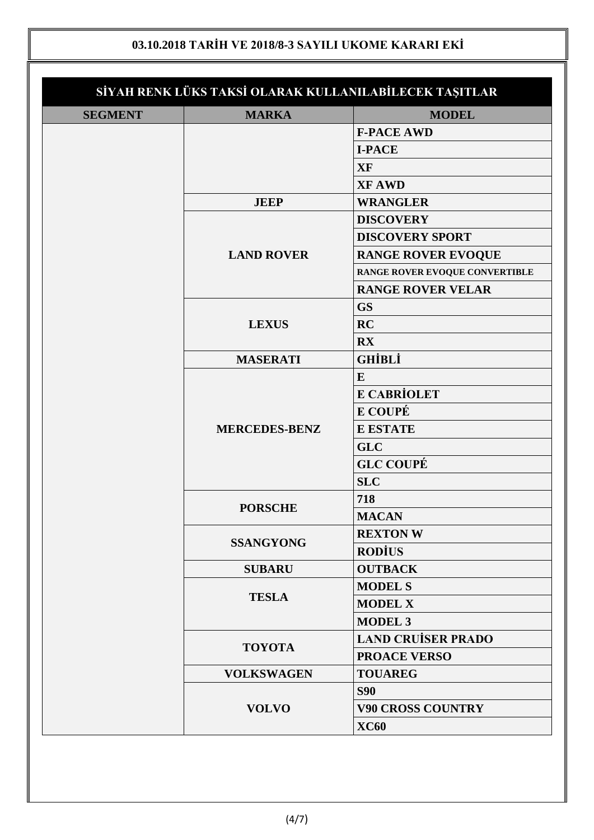|                | SİYAH RENK LÜKS TAKSİ OLARAK KULLANILABİLECEK TAŞITLAR |                                |
|----------------|--------------------------------------------------------|--------------------------------|
| <b>SEGMENT</b> | <b>MARKA</b>                                           | <b>MODEL</b>                   |
|                |                                                        | <b>F-PACE AWD</b>              |
|                |                                                        | <b>I-PACE</b>                  |
|                |                                                        | <b>XF</b>                      |
|                |                                                        | <b>XF AWD</b>                  |
|                | <b>JEEP</b>                                            | <b>WRANGLER</b>                |
|                |                                                        | <b>DISCOVERY</b>               |
|                |                                                        | <b>DISCOVERY SPORT</b>         |
|                | <b>LAND ROVER</b>                                      | <b>RANGE ROVER EVOQUE</b>      |
|                |                                                        | RANGE ROVER EVOQUE CONVERTIBLE |
|                |                                                        | <b>RANGE ROVER VELAR</b>       |
|                | <b>LEXUS</b><br><b>MASERATI</b>                        | <b>GS</b>                      |
|                |                                                        | <b>RC</b>                      |
|                |                                                        | RX                             |
|                |                                                        | <b>GHİBLİ</b>                  |
|                |                                                        | $\bf{E}$                       |
|                |                                                        | <b>E CABRİOLET</b>             |
|                |                                                        | <b>E COUPÉ</b>                 |
|                | <b>MERCEDES-BENZ</b>                                   | <b>E ESTATE</b>                |
|                |                                                        | <b>GLC</b>                     |
|                |                                                        | <b>GLC COUPÉ</b>               |
|                |                                                        | <b>SLC</b>                     |
|                |                                                        | 718                            |
|                | <b>PORSCHE</b>                                         | <b>MACAN</b>                   |
|                |                                                        | <b>REXTON W</b>                |
|                | <b>SSANGYONG</b>                                       | <b>RODIUS</b>                  |
|                | <b>SUBARU</b>                                          | <b>OUTBACK</b>                 |
|                |                                                        | <b>MODEL S</b>                 |
|                | <b>TESLA</b>                                           | <b>MODEL X</b>                 |
|                |                                                        | <b>MODEL 3</b>                 |
|                | <b>TOYOTA</b>                                          | <b>LAND CRUISER PRADO</b>      |
|                |                                                        | <b>PROACE VERSO</b>            |
|                | <b>VOLKSWAGEN</b>                                      | <b>TOUAREG</b>                 |
|                |                                                        | <b>S90</b>                     |
|                | <b>VOLVO</b>                                           | <b>V90 CROSS COUNTRY</b>       |
|                |                                                        | <b>XC60</b>                    |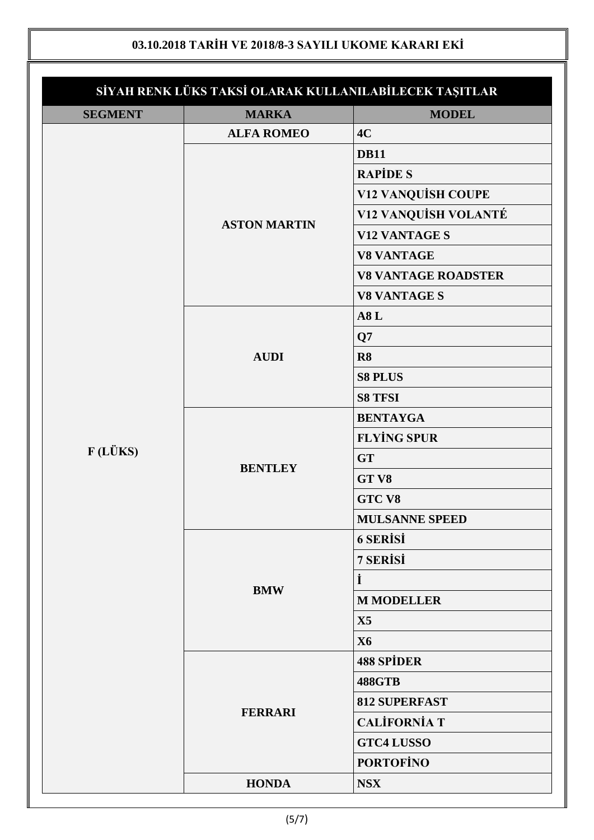| <b>MODEL</b><br>4C<br><b>DB11</b><br><b>RAPIDE S</b><br><b>V12 VANQUISH COUPE</b><br>V12 VANQUİSH VOLANTÉ<br><b>V12 VANTAGE S</b><br><b>V8 VANTAGE</b><br><b>V8 VANTAGE ROADSTER</b><br><b>V8 VANTAGE S</b><br>A8L<br>Q7<br>R8<br><b>S8 PLUS</b><br><b>S8 TFSI</b><br><b>BENTAYGA</b> |
|---------------------------------------------------------------------------------------------------------------------------------------------------------------------------------------------------------------------------------------------------------------------------------------|
|                                                                                                                                                                                                                                                                                       |
|                                                                                                                                                                                                                                                                                       |
|                                                                                                                                                                                                                                                                                       |
|                                                                                                                                                                                                                                                                                       |
|                                                                                                                                                                                                                                                                                       |
|                                                                                                                                                                                                                                                                                       |
|                                                                                                                                                                                                                                                                                       |
|                                                                                                                                                                                                                                                                                       |
|                                                                                                                                                                                                                                                                                       |
|                                                                                                                                                                                                                                                                                       |
|                                                                                                                                                                                                                                                                                       |
|                                                                                                                                                                                                                                                                                       |
|                                                                                                                                                                                                                                                                                       |
|                                                                                                                                                                                                                                                                                       |
|                                                                                                                                                                                                                                                                                       |
|                                                                                                                                                                                                                                                                                       |
| <b>FLYING SPUR</b>                                                                                                                                                                                                                                                                    |
| <b>GT</b>                                                                                                                                                                                                                                                                             |
| GT V8                                                                                                                                                                                                                                                                                 |
| <b>GTC V8</b>                                                                                                                                                                                                                                                                         |
| <b>MULSANNE SPEED</b>                                                                                                                                                                                                                                                                 |
| <b>6 SERISI</b>                                                                                                                                                                                                                                                                       |
| 7 SERISI                                                                                                                                                                                                                                                                              |
| İ                                                                                                                                                                                                                                                                                     |
| <b>M MODELLER</b>                                                                                                                                                                                                                                                                     |
| X5                                                                                                                                                                                                                                                                                    |
| <b>X6</b>                                                                                                                                                                                                                                                                             |
| <b>488 SPİDER</b>                                                                                                                                                                                                                                                                     |
| <b>488GTB</b>                                                                                                                                                                                                                                                                         |
| <b>812 SUPERFAST</b>                                                                                                                                                                                                                                                                  |
| <b>CALIFORNIA T</b>                                                                                                                                                                                                                                                                   |
|                                                                                                                                                                                                                                                                                       |
|                                                                                                                                                                                                                                                                                       |
| <b>GTC4 LUSSO</b><br><b>PORTOFINO</b>                                                                                                                                                                                                                                                 |
|                                                                                                                                                                                                                                                                                       |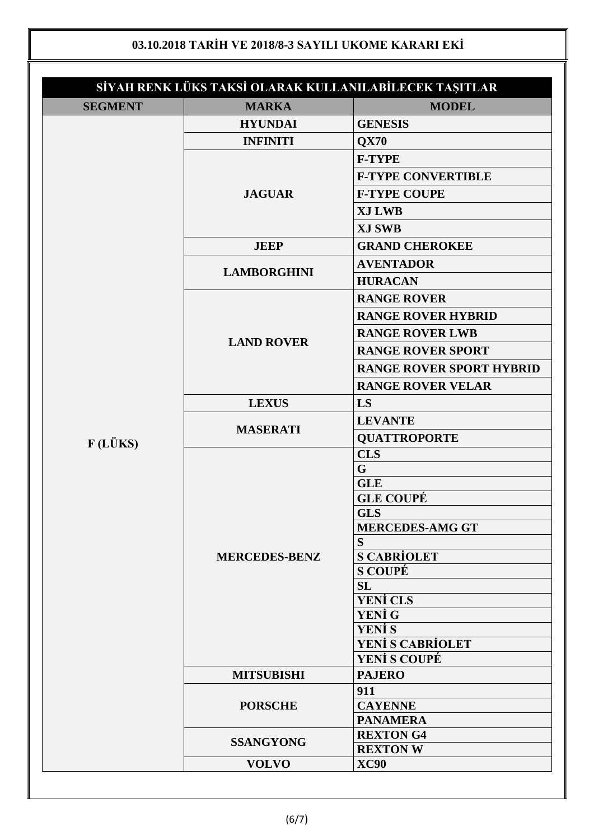| <b>MARKA</b><br><b>MODEL</b><br><b>SEGMENT</b><br><b>GENESIS</b><br><b>HYUNDAI</b><br><b>INFINITI</b><br>QX70<br><b>F-TYPE</b><br><b>F-TYPE CONVERTIBLE</b><br><b>F-TYPE COUPE</b><br><b>JAGUAR</b><br><b>XJ LWB</b><br><b>XJ SWB</b><br><b>JEEP</b><br><b>GRAND CHEROKEE</b><br><b>AVENTADOR</b><br><b>LAMBORGHINI</b><br><b>HURACAN</b><br><b>RANGE ROVER</b><br><b>RANGE ROVER HYBRID</b><br><b>RANGE ROVER LWB</b><br><b>LAND ROVER</b><br><b>RANGE ROVER SPORT</b><br><b>RANGE ROVER SPORT HYBRID</b><br><b>RANGE ROVER VELAR</b> |  |
|----------------------------------------------------------------------------------------------------------------------------------------------------------------------------------------------------------------------------------------------------------------------------------------------------------------------------------------------------------------------------------------------------------------------------------------------------------------------------------------------------------------------------------------|--|
|                                                                                                                                                                                                                                                                                                                                                                                                                                                                                                                                        |  |
|                                                                                                                                                                                                                                                                                                                                                                                                                                                                                                                                        |  |
|                                                                                                                                                                                                                                                                                                                                                                                                                                                                                                                                        |  |
|                                                                                                                                                                                                                                                                                                                                                                                                                                                                                                                                        |  |
|                                                                                                                                                                                                                                                                                                                                                                                                                                                                                                                                        |  |
|                                                                                                                                                                                                                                                                                                                                                                                                                                                                                                                                        |  |
|                                                                                                                                                                                                                                                                                                                                                                                                                                                                                                                                        |  |
|                                                                                                                                                                                                                                                                                                                                                                                                                                                                                                                                        |  |
|                                                                                                                                                                                                                                                                                                                                                                                                                                                                                                                                        |  |
|                                                                                                                                                                                                                                                                                                                                                                                                                                                                                                                                        |  |
|                                                                                                                                                                                                                                                                                                                                                                                                                                                                                                                                        |  |
|                                                                                                                                                                                                                                                                                                                                                                                                                                                                                                                                        |  |
|                                                                                                                                                                                                                                                                                                                                                                                                                                                                                                                                        |  |
|                                                                                                                                                                                                                                                                                                                                                                                                                                                                                                                                        |  |
|                                                                                                                                                                                                                                                                                                                                                                                                                                                                                                                                        |  |
|                                                                                                                                                                                                                                                                                                                                                                                                                                                                                                                                        |  |
|                                                                                                                                                                                                                                                                                                                                                                                                                                                                                                                                        |  |
| LS<br><b>LEXUS</b>                                                                                                                                                                                                                                                                                                                                                                                                                                                                                                                     |  |
| <b>LEVANTE</b>                                                                                                                                                                                                                                                                                                                                                                                                                                                                                                                         |  |
| <b>MASERATI</b><br><b>QUATTROPORTE</b>                                                                                                                                                                                                                                                                                                                                                                                                                                                                                                 |  |
| F(LÜKS)<br><b>CLS</b>                                                                                                                                                                                                                                                                                                                                                                                                                                                                                                                  |  |
| $\mathbf G$                                                                                                                                                                                                                                                                                                                                                                                                                                                                                                                            |  |
| <b>GLE</b>                                                                                                                                                                                                                                                                                                                                                                                                                                                                                                                             |  |
| <b>GLE COUPÉ</b>                                                                                                                                                                                                                                                                                                                                                                                                                                                                                                                       |  |
| <b>GLS</b>                                                                                                                                                                                                                                                                                                                                                                                                                                                                                                                             |  |
| <b>MERCEDES-AMG GT</b>                                                                                                                                                                                                                                                                                                                                                                                                                                                                                                                 |  |
| S<br><b>S CABRIOLET</b><br><b>MERCEDES-BENZ</b>                                                                                                                                                                                                                                                                                                                                                                                                                                                                                        |  |
| <b>S COUPÉ</b>                                                                                                                                                                                                                                                                                                                                                                                                                                                                                                                         |  |
| SL                                                                                                                                                                                                                                                                                                                                                                                                                                                                                                                                     |  |
| <b>YENİ CLS</b>                                                                                                                                                                                                                                                                                                                                                                                                                                                                                                                        |  |
| YENİ G                                                                                                                                                                                                                                                                                                                                                                                                                                                                                                                                 |  |
| <b>YENİ S</b>                                                                                                                                                                                                                                                                                                                                                                                                                                                                                                                          |  |
| <b>YENİ S CABRİOLET</b>                                                                                                                                                                                                                                                                                                                                                                                                                                                                                                                |  |
| <b>YENİ S COUPÉ</b>                                                                                                                                                                                                                                                                                                                                                                                                                                                                                                                    |  |
| <b>PAJERO</b><br><b>MITSUBISHI</b>                                                                                                                                                                                                                                                                                                                                                                                                                                                                                                     |  |
| 911<br><b>CAYENNE</b><br><b>PORSCHE</b>                                                                                                                                                                                                                                                                                                                                                                                                                                                                                                |  |
| <b>PANAMERA</b>                                                                                                                                                                                                                                                                                                                                                                                                                                                                                                                        |  |
| <b>REXTON G4</b>                                                                                                                                                                                                                                                                                                                                                                                                                                                                                                                       |  |
| <b>SSANGYONG</b><br><b>REXTON W</b>                                                                                                                                                                                                                                                                                                                                                                                                                                                                                                    |  |
| <b>XC90</b><br><b>VOLVO</b>                                                                                                                                                                                                                                                                                                                                                                                                                                                                                                            |  |